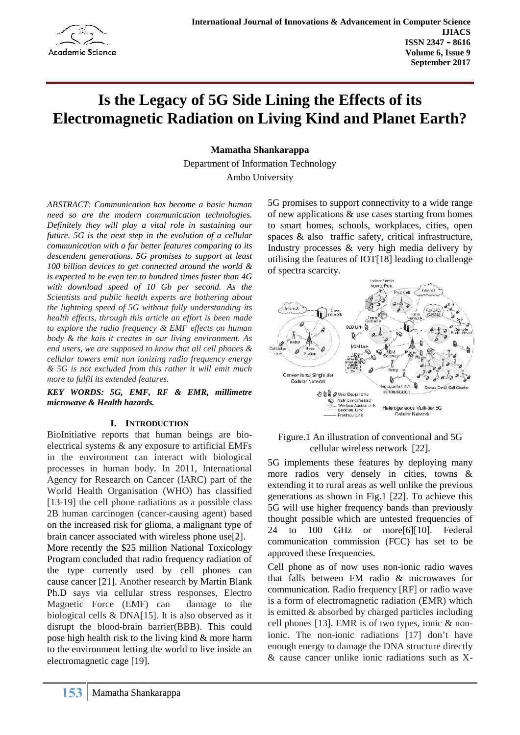

# **Is the Legacy of 5G Side Lining the Effects of its Electromagnetic Radiation on Living Kind and Planet Earth?**

**Mamatha Shankarappa**

Department of Information Technology Ambo University

*ABSTRACT: Communication has become a basic human need so are the modern communication technologies. Definitely they will play a vital role in sustaining our future. 5G is the next step in the evolution of a cellular communication with a far better features comparing to its descendent generations. 5G promises to support at least 100 billion devices to get connected around the world & is expected to be even ten to hundred times faster than 4G with download speed of 10 Gb per second. As the Scientists and public health experts are bothering about the lightning speed of 5G without fully understanding its health effects, through this article an effort is been made to explore the radio frequency & EMF effects on human body & the kais it creates in our living environment. As end users, we are supposed to know that all cell phones & cellular towers emit non ionizing radio frequency energy & 5G is not excluded from this rather it will emit much more to fulfil its extended features.*

*KEY WORDS: 5G, EMF, RF & EMR, millimetre microwave & Health hazards.*

#### **I. INTRODUCTION**

BioInitiative reports that human beings are bio electrical systems & any exposure to artificial EMFs in the environment can interact with biological processes in human body. In 2011, International Agency for Research on Cancer (IARC) part of the World Health Organisation (WHO) has classified [13-19] the cell phone radiations as a possible class 2B human carcinogen (cancer-causing agent) based on the increased risk for glioma, a malignant type of  $\frac{100}{24}$ brain cancer associated with wireless phone use[2].

More recently the \$25 million National Toxicology Program concluded that radio frequency radiation of the type currently used by cell phones can cause cancer [21]. Another research by Martin Blank Ph.D says via cellular stress responses, Electro Magnetic Force (EMF) can damage to the biological cells & DNA[15]. It is also observed as it disrupt the blood-brain barrier(BBB). This could pose high health risk to the living kind & more harm to the environment letting the world to live inside an electromagnetic cage [19].

5G promises to support connectivity to a wide range of new applications & use cases starting from homes to smart homes, schools, workplaces, cities, open spaces & also traffic safety, critical infrastructure, Industry processes & very high media delivery by utilising the features of IOT[18] leading to challenge of spectra scarcity.



#### Figure.1 An illustration of conventional and 5G cellular wireless network [22].

5G implements these features by deploying many more radios very densely in cities, towns & extending it to rural areas as well unlike the previous generations as shown in Fig.1 [22]. To achieve this 5G will use higher frequency bands than previously thought possible which are untested frequencies of to 100 GHz or more[6][10]. Federal communication commission (FCC) has set to be approved these frequencies.

Cell phone as of now uses non-ionic radio waves that falls between FM radio & microwaves for communication. Radio frequency [RF] or radio wave is a form of electromagnetic radiation (EMR) which is emitted & absorbed by charged particles including cell phones [13]. EMR is of two types, ionic & nonionic. The non-ionic radiations [17] don't have enough energy to damage the DNA structure directly & cause cancer unlike ionic radiations such as X-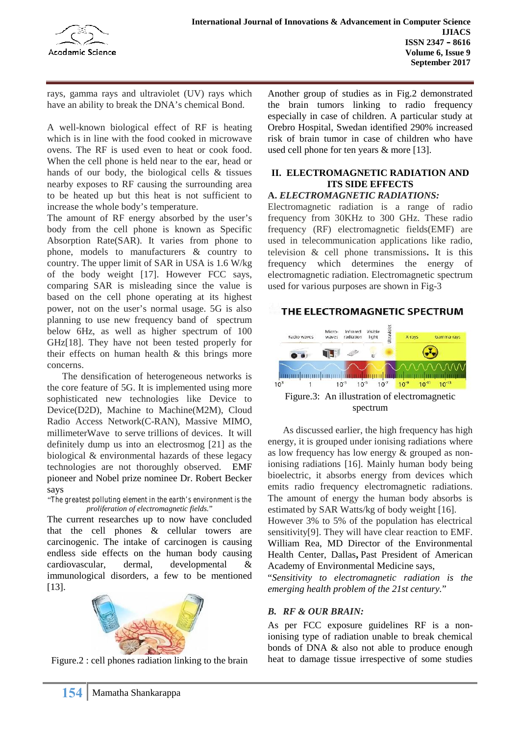

rays, gamma rays and ultraviolet (UV) rays which have an ability to break the DNA's chemical Bond.

A well-known biological effect of RF is heating which is in line with the food cooked in microwave ovens. The RF is used even to heat or cook food. When the cell phone is held near to the ear, head or hands of our body, the biological cells & tissues nearby exposes to RF causing the surrounding area to be heated up but this heat is not sufficient to increase the whole body's temperature.

The amount of RF energy absorbed by the user's body from the cell phone is known as Specific Absorption Rate(SAR). It varies from phone to phone, models to manufacturers & country to country. The upper limit of SAR in USA is 1.6 W/kg of the body weight [17]. However FCC says, comparing SAR is misleading since the value is based on the cell phone operating at its highest power, not on the user's normal usage. 5G is also **THE ELECTROMAGNETIC SPECTRUM** planning to use new frequency band of spectrum below 6Hz, as well as higher spectrum of 100 GHz[18]. They have not been tested properly for their effects on human health & this brings more concerns.

The densification of heterogeneous networks is  $\frac{1}{10^{10}}$ the core feature of 5G. It is implemented using more sophisticated new technologies like Device to Device(D2D), Machine to Machine(M2M), Cloud Radio Access Network(C-RAN), Massive MIMO, millimeterWave to serve trillions of devices. It will definitely dump us into an electrosmog [21] as the biological & environmental hazards of these legacy technologies are not thoroughly observed. EMF pioneer and Nobel prize nominee Dr. Robert Becker says

"*The greatest polluting element in the earth's environment is the proliferation of electromagnetic fields.*"

The current researches up to now have concluded that the cell phones & cellular towers are carcinogenic. The intake of carcinogen is causing endless side effects on the human body causing cardiovascular, dermal, developmental & immunological disorders, a few to be mentioned [13].



Figure.2 : cell phones radiation linking to the brain

Another group of studies as in Fig.2 demonstrated the brain tumors linking to radio frequency especially in case of children. A particular study at Orebro Hospital, Swedan identified 290% increased risk of brain tumor in case of children who have used cell phone for ten years & more [13].

# **II. ELECTROMAGNETIC RADIATION AND ITS SIDE EFFECTS**

#### **A.** *ELECTROMAGNETIC RADIATIONS:*

Electromagnetic radiation is a range of radio frequency from 30KHz to 300 GHz. These radio frequency (RF) electromagnetic fields(EMF) are used in telecommunication applications like radio, television & cell phone transmissions**.** It is this frequency which determines the energy of electromagnetic radiation. Electromagnetic spectrum used for various purposes are shown in Fig-3



As discussed earlier, the high frequency has high energy, it is grouped under ionising radiations where as low frequency has low energy & grouped as nonionising radiations [16]. Mainly human body being bioelectric, it absorbs energy from devices which emits radio frequency electromagnetic radiations. The amount of energy the human body absorbs is estimated by SAR Watts/kg of body weight [16].

However 3% to 5% of the population has electrical sensitivity[9]. They will have clear reaction to EMF. William Rea, MD Director of the Environmental Health Center, Dallas**,** Past President of American Academy of Environmental Medicine says,

"*Sensitivity to electromagnetic radiation is the emerging health problem of the 21st century.*"

#### *B. RF & OUR BRAIN:*

As per FCC exposure guidelines RF is a nonionising type of radiation unable to break chemical bonds of DNA & also not able to produce enough heat to damage tissue irrespective of some studies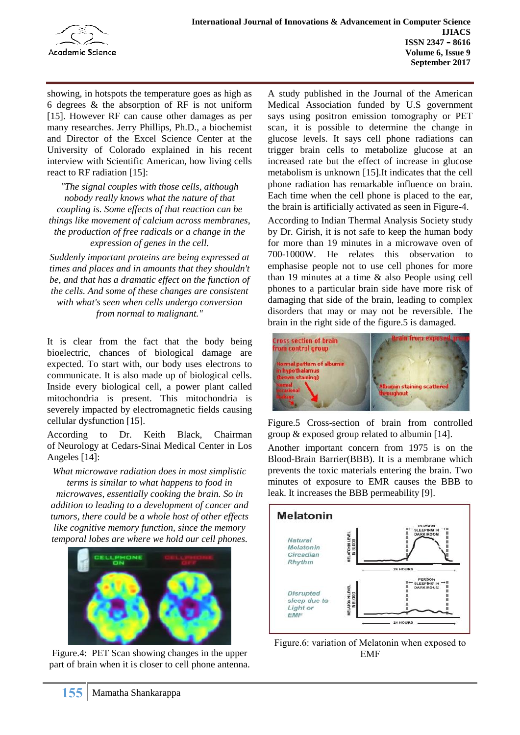

showing, in hotspots the temperature goes as high as 6 degrees & the absorption of RF is not uniform [15]. However RF can cause other damages as per many researches. Jerry Phillips, Ph.D., a biochemist and Director of the Excel Science Center at the University of Colorado explained in his recent interview with Scientific American, how living cells react to RF radiation [15]:

*"The signal couples with those cells, although nobody really knows what the nature of that coupling is. Some effects of that reaction can be things like movement of calcium across membranes, the production of free radicals or a change in the expression of genes in the cell.*

*Suddenly important proteins are being expressed at times and places and in amounts that they shouldn't be, and that has a dramatic effect on the function of the cells. And some of these changes are consistent with what's seen when cells undergo conversion from normal to malignant."*

It is clear from the fact that the body being Cross section of brain<br>his clear the paper of his being demonstrated from control group bioelectric, chances of biological damage are expected. To start with, our body uses electrons to communicate. It is also made up of biological cells. Inside every biological cell, a power plant called mitochondria is present. This mitochondria is severely impacted by electromagnetic fields causing cellular dysfunction [15].

According to Dr. Keith Black, Chairman of Neurology at Cedars-Sinai Medical Center in Los Angeles [14]:

*What microwave radiation does in most simplistic terms is similar to what happens to food in microwaves, essentially cooking the brain. So in addition to leading to a development of cancer and*<br>*tumors, there could be a whole host of other effects tumors, there could be a whole host of other effects like cognitive memory function, since the memory temporal lobes are where we hold our cell phones.*



Figure.4: PET Scan showing changes in the upper part of brain when it is closer to cell phone antenna.

A study published in the Journal of the American Medical Association funded by U.S government says using positron emission tomography or PET scan, it is possible to determine the change in glucose levels. It says cell phone radiations can trigger brain cells to metabolize glucose at an increased rate but the effect of increase in glucose metabolism is unknown [15].It indicates that the cell phone radiation has remarkable influence on brain. Each time when the cell phone is placed to the ear, the brain is artificially activated as seen in Figure-4.

According to Indian Thermal Analysis Society study by Dr. Girish, it is not safe to keep the human body for more than 19 minutes in a microwave oven of 700-1000W. He relates this observation to emphasise people not to use cell phones for more than 19 minutes at a time & also People using cell phones to a particular brain side have more risk of damaging that side of the brain, leading to complex disorders that may or may not be reversible. The brain in the right side of the figure.5 is damaged.



Figure.5 Cross-section of brain from controlled group & exposed group related to albumin [14].

Another important concern from 1975 is on the Blood-Brain Barrier(BBB). It is a membrane which prevents the toxic materials entering the brain. Two minutes of exposure to EMR causes the BBB to leak. It increases the BBB permeability [9].



Figure.6: variation of Melatonin when exposed to EMF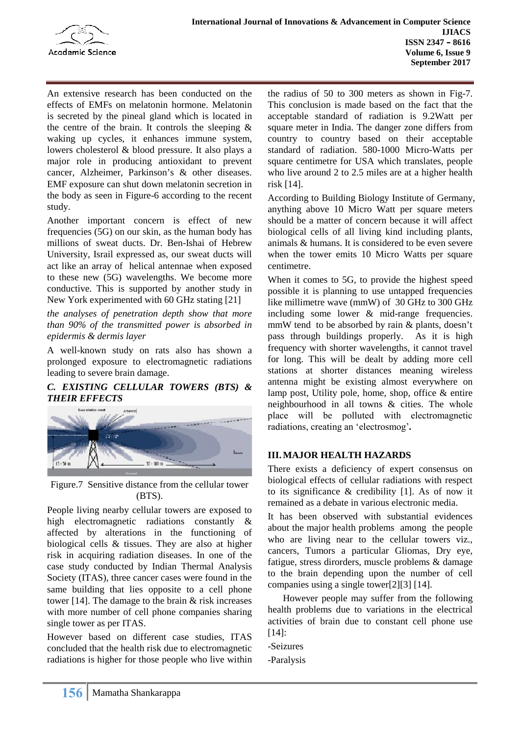

An extensive research has been conducted on the effects of EMFs on melatonin hormone. Melatonin is secreted by the pineal gland which is located in the centre of the brain. It controls the sleeping  $\&$ waking up cycles, it enhances immune system, lowers cholesterol & blood pressure. It also plays a major role in producing antioxidant to prevent cancer, Alzheimer, Parkinson's & other diseases. EMF exposure can shut down melatonin secretion in the body as seen in Figure-6 according to the recent study.

Another important concern is effect of new frequencies (5G) on our skin, as the human body has millions of sweat ducts. Dr. Ben-Ishai of Hebrew University, Israil expressed as, our sweat ducts will act like an array of helical antennae when exposed to these new (5G) wavelengths. We become more conductive. This is supported by another study in New York experimented with 60 GHz stating [21]

*the analyses of penetration depth show that more than 90% of the transmitted power is absorbed in epidermis & dermis layer*

A well-known study on rats also has shown a prolonged exposure to electromagnetic radiations leading to severe brain damage.

# *C. EXISTING CELLULAR TOWERS (BTS) & THEIR EFFECTS*



Figure.7 Sensitive distance from the cellular tower (BTS).

People living nearby cellular towers are exposed to high electromagnetic radiations constantly & affected by alterations in the functioning of biological cells & tissues. They are also at higher risk in acquiring radiation diseases. In one of the case study conducted by Indian Thermal Analysis Society (ITAS), three cancer cases were found in the same building that lies opposite to a cell phone tower [14]. The damage to the brain & risk increases with more number of cell phone companies sharing single tower as per ITAS.

However based on different case studies, ITAS concluded that the health risk due to electromagnetic radiations is higher for those people who live within

the radius of 50 to 300 meters as shown in Fig-7. This conclusion is made based on the fact that the acceptable standard of radiation is 9.2Watt per square meter in India. The danger zone differs from country to country based on their acceptable standard of radiation. 580-1000 Micro-Watts per square centimetre for USA which translates, people who live around 2 to 2.5 miles are at a higher health risk [14].

According to Building Biology Institute of Germany, anything above 10 Micro Watt per square meters should be a matter of concern because it will affect biological cells of all living kind including plants, animals & humans. It is considered to be even severe when the tower emits 10 Micro Watts per square centimetre.

When it comes to 5G, to provide the highest speed possible it is planning to use untapped frequencies like millimetre wave (mmW) of 30 GHz to 300 GHz including some lower & mid-range frequencies. mmW tend to be absorbed by rain & plants, doesn't pass through buildings properly. As it is high frequency with shorter wavelengths, it cannot travel for long. This will be dealt by adding more cell stations at shorter distances meaning wireless antenna might be existing almost everywhere on lamp post, Utility pole, home, shop, office & entire neighbourhood in all towns & cities. The whole place will be polluted with electromagnetic radiations, creating an 'electrosmog'*.*

# **III.MAJOR HEALTH HAZARDS**

There exists a deficiency of expert consensus on biological effects of cellular radiations with respect to its significance & credibility [1]. As of now it remained as a debate in various electronic media.

It has been observed with substantial evidences about the major health problems among the people who are living near to the cellular towers viz., cancers, Tumors a particular Gliomas, Dry eye, fatigue, stress dirorders, muscle problems & damage to the brain depending upon the number of cell companies using a single tower[2][3] [14].

However people may suffer from the following health problems due to variations in the electrical activities of brain due to constant cell phone use [14]:

-Seizures

-Paralysis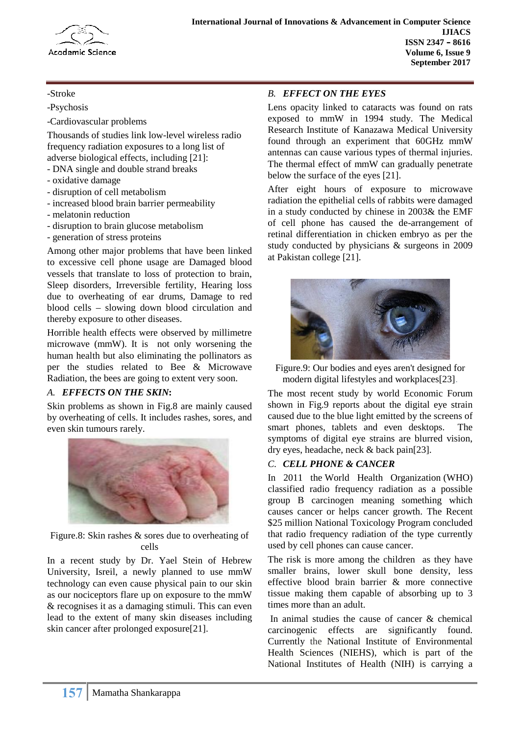

-Stroke

-Psychosis

-Cardiovascular problems

Thousands of studies link low-level wireless radio frequency radiation exposures to a long list of adverse biological effects, including [21]:

- DNA single and double strand breaks
- oxidative damage
- disruption of cell metabolism
- increased blood brain barrier permeability
- melatonin reduction
- disruption to brain glucose metabolism
- generation of stress proteins

Among other major problems that have been linked to excessive cell phone usage are Damaged blood vessels that translate to loss of protection to brain, Sleep disorders, Irreversible fertility, Hearing loss due to overheating of ear drums, Damage to red blood cells – slowing down blood circulation and thereby exposure to other diseases.

Horrible health effects were observed by millimetre microwave (mmW). It is not only worsening the human health but also eliminating the pollinators as per the studies related to Bee & Microwave Radiation, the bees are going to extent very soon.

#### *A. EFFECTS ON THE SKIN***:**

Skin problems as shown in Fig.8 are mainly caused by overheating of cells. It includes rashes, sores, and even skin tumours rarely.



Figure.8: Skin rashes & sores due to overheating of cells

In a recent study by Dr. Yael Stein of Hebrew University, Isreil, a newly planned to use mmW technology can even cause physical pain to our skin as our nociceptors flare up on exposure to the mmW & recognises it as a damaging stimuli. This can even lead to the extent of many skin diseases including skin cancer after prolonged exposure[21].

# *B. EFFECT ON THE EYES*

Lens opacity linked to cataracts was found on rats exposed to mmW in 1994 study. The Medical Research Institute of Kanazawa Medical University found through an experiment that 60GHz mmW antennas can cause various types of thermal injuries. The thermal effect of mmW can gradually penetrate below the surface of the eyes [21].

After eight hours of exposure to microwave radiation the epithelial cells of rabbits were damaged in a study conducted by chinese in 2003& the EMF of cell phone has caused the de-arrangement of retinal differentiation in chicken embryo as per the study conducted by physicians & surgeons in 2009 at Pakistan college [21].



Figure.9: Our bodies and eyes aren't designed for modern digital lifestyles and workplaces[23].

The most recent study by world Economic Forum shown in Fig.9 reports about the digital eye strain caused due to the blue light emitted by the screens of smart phones, tablets and even desktops. The symptoms of digital eye strains are blurred vision, dry eyes, headache, neck & back pain[23].

#### *C. CELL PHONE & CANCER*

In 2011 the World Health Organization (WHO) classified radio frequency radiation as a possible group B carcinogen meaning something which causes cancer or helps cancer growth. The Recent \$25 million National Toxicology Program concluded that radio frequency radiation of the type currently used by cell phones can cause cancer.

The risk is more among the children as they have smaller brains, lower skull bone density, less effective blood brain barrier & more connective tissue making them capable of absorbing up to 3 times more than an adult.

In animal studies the cause of cancer  $\&$  chemical carcinogenic effects are significantly found. carcinogenic effects are Currently the National Institute of Environmental Health Sciences (NIEHS), which is part of the National Institutes of Health (NIH) is carrying a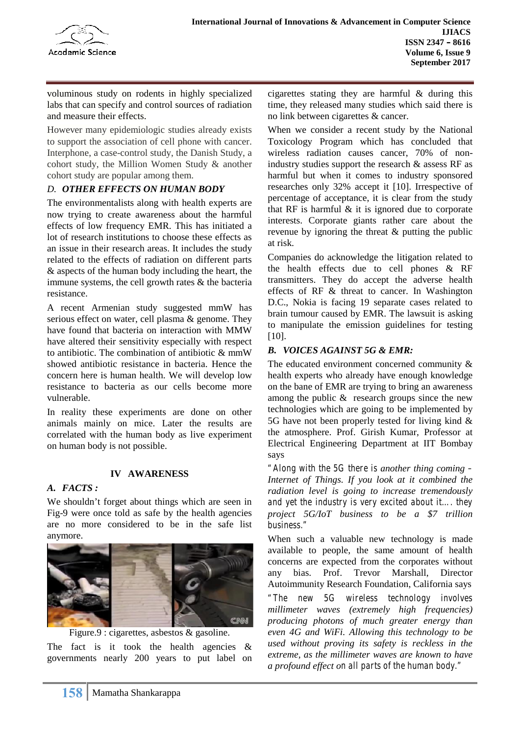

voluminous study on rodents in highly specialized labs that can specify and control sources of radiation and measure their effects.

However many epidemiologic studies already exists to support the association of cell phone with cancer. Interphone, a case-control study, the Danish Study, a cohort study, the Million Women Study & another cohort study are popular among them.

# *D. OTHER EFFECTS ON HUMAN BODY*

The environmentalists along with health experts are now trying to create awareness about the harmful effects of low frequency EMR. This has initiated a lot of research institutions to choose these effects as an issue in their research areas. It includes the study related to the effects of radiation on different parts & aspects of the human body including the heart, the immune systems, the cell growth rates & the bacteria resistance.

A recent Armenian study suggested mmW has serious effect on water, cell plasma & genome. They have found that bacteria on interaction with MMW have altered their sensitivity especially with respect to antibiotic. The combination of antibiotic & mmW showed antibiotic resistance in bacteria. Hence the concern here is human health. We will develop low resistance to bacteria as our cells become more vulnerable.

In reality these experiments are done on other animals mainly on mice. Later the results are correlated with the human body as live experiment on human body is not possible.

# **IV AWARENESS**

#### *A. FACTS :*

We shouldn't forget about things which are seen in Fig-9 were once told as safe by the health agencies are no more considered to be in the safe list anymore.



Figure.9 : cigarettes, asbestos & gasoline.

The fact is it took the health agencies  $\&$ governments nearly 200 years to put label on cigarettes stating they are harmful & during this time, they released many studies which said there is no link between cigarettes & cancer.

When we consider a recent study by the National Toxicology Program which has concluded that wireless radiation causes cancer, 70% of nonindustry studies support the research & assess RF as harmful but when it comes to industry sponsored researches only 32% accept it [10]. Irrespective of percentage of acceptance, it is clear from the study that RF is harmful  $\&$  it is ignored due to corporate interests. Corporate giants rather care about the revenue by ignoring the threat & putting the public at risk.

Companies do acknowledge the litigation related to the health effects due to cell phones & RF transmitters. They do accept the adverse health effects of RF & threat to cancer. In Washington D.C., Nokia is facing 19 separate cases related to brain tumour caused by EMR. The lawsuit is asking to manipulate the emission guidelines for testing [10].

# *B. VOICES AGAINST 5G & EMR:*

The educated environment concerned community & health experts who already have enough knowledge on the bane of EMR are trying to bring an awareness among the public & research groups since the new technologies which are going to be implemented by 5G have not been properly tested for living kind & the atmosphere. Prof. Girish Kumar, Professor at Electrical Engineering Department at IIT Bombay says

*"Along with the 5G there is another thing coming – Internet of Things. If you look at it combined the radiation level is going to increase tremendously and yet the industry is very excited about it…. they project 5G/IoT business to be a \$7 trillion business."*

When such a valuable new technology is made available to people, the same amount of health concerns are expected from the corporates without any bias. Prof. Trevor Marshall, Director Autoimmunity Research Foundation, California says

*"The new 5G wireless technology involves millimeter waves (extremely high frequencies) producing photons of much greater energy than even 4G and WiFi. Allowing this technology to be used without proving its safety is reckless in the extreme, as the millimeter waves are known to have a profound effect on all parts of the human body."*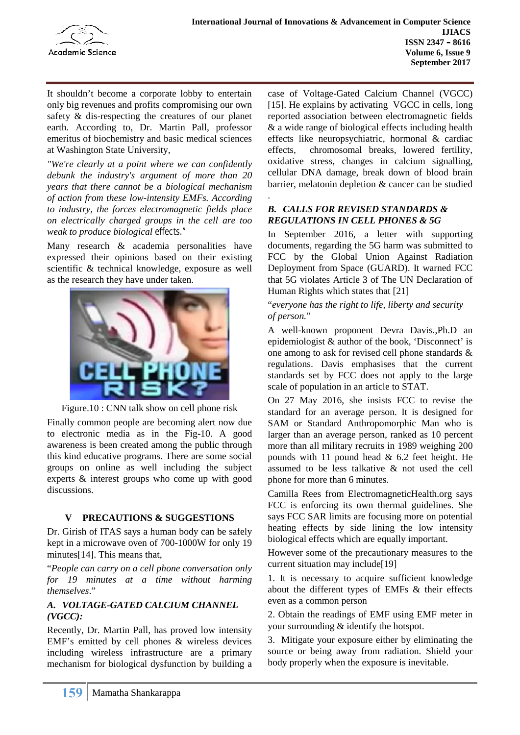

It shouldn't become a corporate lobby to entertain only big revenues and profits compromising our own safety & dis-respecting the creatures of our planet earth. According to, Dr. Martin Pall, professor emeritus of biochemistry and basic medical sciences at Washington State University,

*"We're clearly at a point where we can confidently debunk the industry's argument of more than 20 years that there cannot be a biological mechanism of action from these low-intensity EMFs. According to industry, the forces electromagnetic fields place on electrically charged groups in the cell are too weak to produce biological effects."*

Many research & academia personalities have expressed their opinions based on their existing scientific & technical knowledge, exposure as well as the research they have under taken.





Finally common people are becoming alert now due to electronic media as in the Fig-10. A good awareness is been created among the public through this kind educative programs. There are some social groups on online as well including the subject experts & interest groups who come up with good discussions.

# **V PRECAUTIONS & SUGGESTIONS**

Dr. Girish of ITAS says a human body can be safely kept in a microwave oven of 700-1000W for only 19 minutes[14]. This means that,

"*People can carry on a cell phone conversation only for 19 minutes at a time without harming themselves*."

# *A. VOLTAGE-GATED CALCIUM CHANNEL (VGCC):*

Recently, Dr. Martin Pall, has proved low intensity EMF's emitted by cell phones & wireless devices including wireless infrastructure are a primary mechanism for biological dysfunction by building a

case of Voltage-Gated Calcium Channel (VGCC) [15]. He explains by activating VGCC in cells, long reported association between electromagnetic fields & a wide range of biological effects including health effects like neuropsychiatric, hormonal & cardiac effects, chromosomal breaks, lowered fertility, oxidative stress, changes in calcium signalling, cellular DNA damage, break down of blood brain barrier, melatonin depletion & cancer can be studied

# *B. CALLS FOR REVISED STANDARDS & REGULATIONS IN CELL PHONES & 5G*

.

In September 2016, a letter with supporting documents, regarding the 5G harm was submitted to FCC by the Global Union Against Radiation Deployment from Space (GUARD). It warned FCC that 5G violates Article 3 of The UN Declaration of Human Rights which states that [21]

"*everyone has the right to life, liberty and security of person.*"

A well-known proponent Devra Davis.,Ph.D an epidemiologist & author of the book, 'Disconnect' is one among to ask for revised cell phone standards & regulations. Davis emphasises that the current standards set by FCC does not apply to the large scale of population in an article to STAT.

On 27 May 2016, she insists FCC to revise the standard for an average person. It is designed for SAM or Standard Anthropomorphic Man who is larger than an average person, ranked as 10 percent more than all military recruits in 1989 weighing 200 pounds with 11 pound head  $& 6.2$  feet height. He assumed to be less talkative & not used the cell phone for more than 6 minutes.

Camilla Rees from ElectromagneticHealth.org says FCC is enforcing its own thermal guidelines. She says FCC SAR limits are focusing more on potential heating effects by side lining the low intensity biological effects which are equally important.

However some of the precautionary measures to the current situation may include[19]

1. It is necessary to acquire sufficient knowledge about the different types of EMFs & their effects even as a common person

2. Obtain the readings of EMF using EMF meter in your surrounding & identify the hotspot.

3. Mitigate your exposure either by eliminating the source or being away from radiation. Shield your body properly when the exposure is inevitable.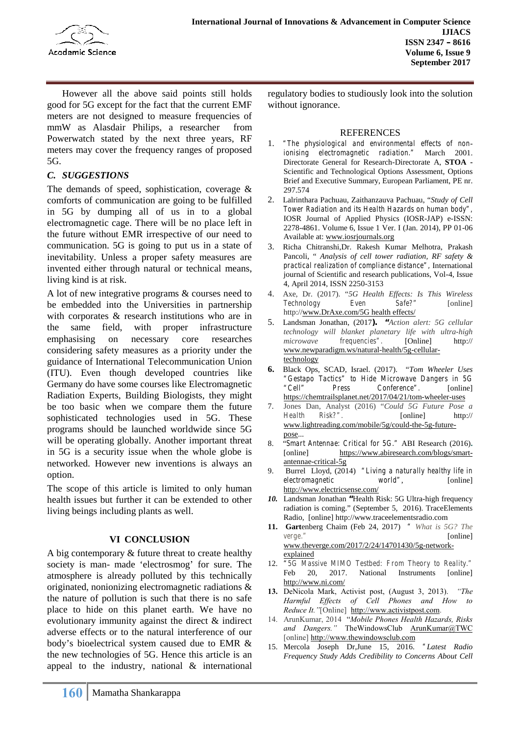

However all the above said points still holds good for 5G except for the fact that the current EMF meters are not designed to measure frequencies of mmW as Alasdair Philips, a researcher from Powerwatch stated by the next three years, RF meters may cover the frequency ranges of proposed 5G.

# *C. SUGGESTIONS*

The demands of speed, sophistication, coverage  $\&$ comforts of communication are going to be fulfilled in 5G by dumping all of us in to a global electromagnetic cage. There will be no place left in the future without EMR irrespective of our need to communication. 5G is going to put us in a state of inevitability. Unless a proper safety measures are invented either through natural or technical means, living kind is at risk.

A lot of new integrative programs & courses need to be embedded into the Universities in partnership with corporates  $\&$  research institutions who are in  $\frac{1}{2}$ . the same field, with proper infrastructure emphasising on necessary core researches considering safety measures as a priority under the guidance of International Telecommunication Union (ITU). Even though developed countries like Germany do have some courses like Electromagnetic Radiation Experts, Building Biologists, they might be too basic when we compare them the future 7. Jones<br>sophisticated technologies used in 5G. These Health sophisticated technologies used in 5G. These programs should be launched worldwide since 5G will be operating globally. Another important threat  $\begin{bmatrix} 8 \end{bmatrix}$ in 5G is a security issue when the whole globe is networked. However new inventions is always an option.

The scope of this article is limited to only human health issues but further it can be extended to other living beings including plants as well.

#### **VI CONCLUSION**

A big contemporary & future threat to create healthy society is man- made 'electrosmog' for sure. The 12. "50 atmosphere is already polluted by this technically originated, nonionizing electromagnetic radiations & the nature of pollution is such that there is no safe place to hide on this planet earth. We have no evolutionary immunity against the direct & indirect adverse effects or to the natural interference of our body's bioelectrical system caused due to EMR & the new technologies of 5G. Hence this article is an appeal to the industry, national & international

regulatory bodies to studiously look into the solution without ignorance.

# REFERENCES

- "The physiological and environmental effects of non*ionising electromagnetic radiation."* March 2001. Directorate General for Research-Directorate A, **STOA -** Scientific and Technological Options Assessment, Options Brief and Executive Summary, European Parliament, PE nr. 297.574
- 2. Lalrinthara Pachuau, Zaithanzauva Pachuau, "*Study of Cell Tower Radiation and its Health Hazards on human body",* IOSR Journal of Applied Physics (IOSR-JAP) e-ISSN: 2278-4861. Volume 6, Issue 1 Ver. I (Jan. 2014), PP 01-06 Available at: www.iosrjournals.org
- 3. Richa Chitranshi,Dr. Rakesh Kumar Melhotra, Prakash Pancoli, " *Analysis of cell tower radiation, RF safety & practical realization of compliance distance",* International journal of Scientific and research publications, Vol-4, Issue 4, April 2014, ISSN 2250-3153
- 4. Axe, Dr. (2017). "*5G Health Effects: Is This Wireless Technology Even Safe?*" [online] http://www.DrAxe.com/5G health effects/
- 5. Landsman Jonathan, (2017**). "***Action alert: 5G cellular technology will blanket planetary life with ultra-high microwave frequencies".* [Online] http:// www.newparadigm.ws/natural-health/5g-cellulartechnology
- **6.** Black Ops, SCAD, Israel. (2017). "*Tom Wheeler Uses "Gestapo Tactics" to Hide Microwave Dangers in 5G "Cell" Press Conference".* [online] https://chemtrailsplanet.net/2017/04/21/tom-wheeler-uses
- 7. Jones Dan, Analyst (2016) "*Could 5G Future Pose a Health Risk?".* [online] http:// www.lightreading.com/mobile/5g/could-the-5g-future pose...
- 8. "*Smart Antennae: Critical for 5G."* ABI Research (2016)**.** [online] https://www.abiresearch.com/blogs/smart antennae-critical-5g
- 9. Burrel Lloyd, (2014) *"Living a naturally healthy life in electromagnetic world*", [online] http://www.electricsense.com/
- *10.* Landsman Jonathan **"**Health Risk: 5G Ultra-high frequency radiation is coming." (September 5, 2016). TraceElements Radio, [online] http://www.traceelementsradio.com
- **11. Gart**enberg Chaim (Feb 24, 2017) *" What is 5G? The verge."* [online] www.theverge.com/2017/2/24/14701430/5g-network explained
- 12. *"5G Massive MIMO Testbed: From Theory to Reality."* 20, 2017. National Instruments [online] http://www.ni.com/
- **13.** DeNicola Mark, Activist post, (August 3, 2013). *"The Harmful Effects of Cell Phones and How to Reduce It."*[Online] http://www.activistpost.com.
- 14. ArunKumar, 2014 "*Mobile Phones Health Hazards, Risks* and Dangers." TheWindowsClub ArunKumar@TWC [online] http://www.thewindowsclub.com
- 15. Mercola Joseph Dr,June 15, 2016. *"Latest Radio Frequency Study Adds Credibility to Concerns About Cell*